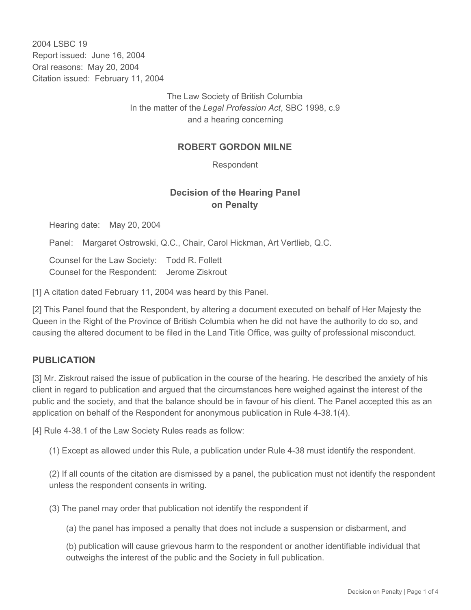2004 LSBC 19 Report issued: June 16, 2004 Oral reasons: May 20, 2004 Citation issued: February 11, 2004

> The Law Society of British Columbia In the matter of the *Legal Profession Act*, SBC 1998, c.9 and a hearing concerning

## **ROBERT GORDON MILNE**

Respondent

## **Decision of the Hearing Panel on Penalty**

Hearing date: May 20, 2004

Panel: Margaret Ostrowski, Q.C., Chair, Carol Hickman, Art Vertlieb, Q.C.

Counsel for the Law Society: Todd R. Follett Counsel for the Respondent: Jerome Ziskrout

[1] A citation dated February 11, 2004 was heard by this Panel.

[2] This Panel found that the Respondent, by altering a document executed on behalf of Her Majesty the Queen in the Right of the Province of British Columbia when he did not have the authority to do so, and causing the altered document to be filed in the Land Title Office, was guilty of professional misconduct.

## **PUBLICATION**

[3] Mr. Ziskrout raised the issue of publication in the course of the hearing. He described the anxiety of his client in regard to publication and argued that the circumstances here weighed against the interest of the public and the society, and that the balance should be in favour of his client. The Panel accepted this as an application on behalf of the Respondent for anonymous publication in Rule 4-38.1(4).

[4] Rule 4-38.1 of the Law Society Rules reads as follow:

(1) Except as allowed under this Rule, a publication under Rule 4-38 must identify the respondent.

(2) If all counts of the citation are dismissed by a panel, the publication must not identify the respondent unless the respondent consents in writing.

(3) The panel may order that publication not identify the respondent if

(a) the panel has imposed a penalty that does not include a suspension or disbarment, and

(b) publication will cause grievous harm to the respondent or another identifiable individual that outweighs the interest of the public and the Society in full publication.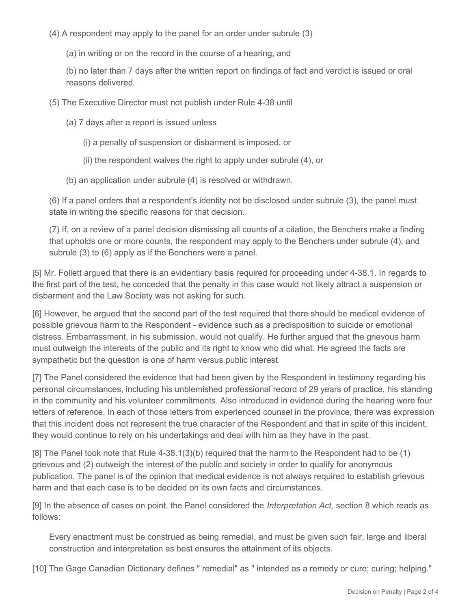(4) A respondent may apply to the panel for an order under subrule (3)

(a) in writing or on the record in the course of a hearing, and

(b) no later than 7 days after the written report on findings of fact and verdict is issued or oral reasons delivered.

(5) The Executive Director must not publish under Rule 4-38 until

(a) 7 days after a report is issued unless

- (i) a penalty of suspension or disbarment is imposed, or
- (ii) the respondent waives the right to apply under subrule (4), or
- (b) an application under subrule (4) is resolved or withdrawn.

(6) If a panel orders that a respondent's identity not be disclosed under subrule (3), the panel must state in writing the specific reasons for that decision.

(7) If, on a review of a panel decision dismissing all counts of a citation, the Benchers make a finding that upholds one or more counts, the respondent may apply to the Benchers under subrule (4), and subrule (3) to (6) apply as if the Benchers were a panel.

[5] Mr. Follett argued that there is an evidentiary basis required for proceeding under 4-38.1. In regards to the first part of the test, he conceded that the penalty in this case would not likely attract a suspension or disbarment and the Law Society was not asking for such.

[6] However, he argued that the second part of the test required that there should be medical evidence of possible grievous harm to the Respondent - evidence such as a predisposition to suicide or emotional distress. Embarrassment, in his submission, would not qualify. He further argued that the grievous harm must outweigh the interests of the public and its right to know who did what. He agreed the facts are sympathetic but the question is one of harm versus public interest.

[7] The Panel considered the evidence that had been given by the Respondent in testimony regarding his personal circumstances, including his unblemished professional record of 29 years of practice, his standing in the community and his volunteer commitments. Also introduced in evidence during the hearing were four letters of reference. In each of those letters from experienced counsel in the province, there was expression that this incident does not represent the true character of the Respondent and that in spite of this incident, they would continue to rely on his undertakings and deal with him as they have in the past.

[8] The Panel took note that Rule 4-38.1(3)(b) required that the harm to the Respondent had to be (1) grievous and (2) outweigh the interest of the public and society in order to qualify for anonymous publication. The panel is of the opinion that medical evidence is not always required to establish grievous harm and that each case is to be decided on its own facts and circumstances.

[9] In the absence of cases on point, the Panel considered the *Interpretation Act,* section 8 which reads as follows:

Every enactment must be construed as being remedial, and must be given such fair, large and liberal construction and interpretation as best ensures the attainment of its objects.

[10] The Gage Canadian Dictionary defines " remedial" as " intended as a remedy or cure; curing; helping."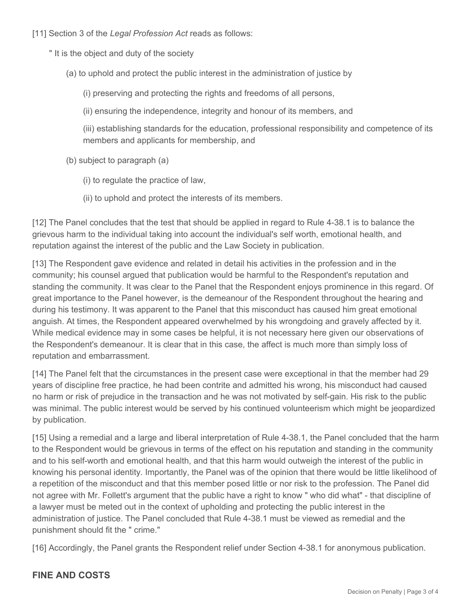- [11] Section 3 of the *Legal Profession Act* reads as follows:
	- " It is the object and duty of the society
		- (a) to uphold and protect the public interest in the administration of justice by
			- (i) preserving and protecting the rights and freedoms of all persons,
			- (ii) ensuring the independence, integrity and honour of its members, and

(iii) establishing standards for the education, professional responsibility and competence of its members and applicants for membership, and

- (b) subject to paragraph (a)
	- (i) to regulate the practice of law,
	- (ii) to uphold and protect the interests of its members.

[12] The Panel concludes that the test that should be applied in regard to Rule 4-38.1 is to balance the grievous harm to the individual taking into account the individual's self worth, emotional health, and reputation against the interest of the public and the Law Society in publication.

[13] The Respondent gave evidence and related in detail his activities in the profession and in the community; his counsel argued that publication would be harmful to the Respondent's reputation and standing the community. It was clear to the Panel that the Respondent enjoys prominence in this regard. Of great importance to the Panel however, is the demeanour of the Respondent throughout the hearing and during his testimony. It was apparent to the Panel that this misconduct has caused him great emotional anguish. At times, the Respondent appeared overwhelmed by his wrongdoing and gravely affected by it. While medical evidence may in some cases be helpful, it is not necessary here given our observations of the Respondent's demeanour. It is clear that in this case, the affect is much more than simply loss of reputation and embarrassment.

[14] The Panel felt that the circumstances in the present case were exceptional in that the member had 29 years of discipline free practice, he had been contrite and admitted his wrong, his misconduct had caused no harm or risk of prejudice in the transaction and he was not motivated by self-gain. His risk to the public was minimal. The public interest would be served by his continued volunteerism which might be jeopardized by publication.

[15] Using a remedial and a large and liberal interpretation of Rule 4-38.1, the Panel concluded that the harm to the Respondent would be grievous in terms of the effect on his reputation and standing in the community and to his self-worth and emotional health, and that this harm would outweigh the interest of the public in knowing his personal identity. Importantly, the Panel was of the opinion that there would be little likelihood of a repetition of the misconduct and that this member posed little or nor risk to the profession. The Panel did not agree with Mr. Follett's argument that the public have a right to know " who did what" - that discipline of a lawyer must be meted out in the context of upholding and protecting the public interest in the administration of justice. The Panel concluded that Rule 4-38.1 must be viewed as remedial and the punishment should fit the " crime."

[16] Accordingly, the Panel grants the Respondent relief under Section 4-38.1 for anonymous publication.

## **FINE AND COSTS**